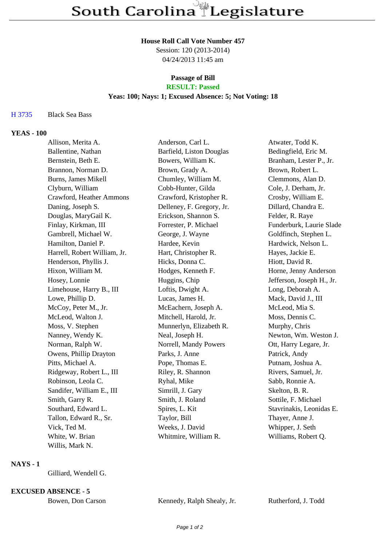## **House Roll Call Vote Number 457**

Session: 120 (2013-2014) 04/24/2013 11:45 am

# **Passage of Bill**

# **RESULT: Passed**

## **Yeas: 100; Nays: 1; Excused Absence: 5; Not Voting: 18**

### H 3735 Black Sea Bass

### **YEAS - 100**

| Allison, Merita A.           | Anderson, Carl L.         | Atwater, Todd K.          |
|------------------------------|---------------------------|---------------------------|
| Ballentine, Nathan           | Barfield, Liston Douglas  | Bedingfield, Eric M.      |
| Bernstein, Beth E.           | Bowers, William K.        | Branham, Lester P., Jr.   |
| Brannon, Norman D.           | Brown, Grady A.           | Brown, Robert L.          |
| Burns, James Mikell          | Chumley, William M.       | Clemmons, Alan D.         |
| Clyburn, William             | Cobb-Hunter, Gilda        | Cole, J. Derham, Jr.      |
| Crawford, Heather Ammons     | Crawford, Kristopher R.   | Crosby, William E.        |
| Daning, Joseph S.            | Delleney, F. Gregory, Jr. | Dillard, Chandra E.       |
| Douglas, MaryGail K.         | Erickson, Shannon S.      | Felder, R. Raye           |
| Finlay, Kirkman, III         | Forrester, P. Michael     | Funderburk, Laurie Slade  |
| Gambrell, Michael W.         | George, J. Wayne          | Goldfinch, Stephen L.     |
| Hamilton, Daniel P.          | Hardee, Kevin             | Hardwick, Nelson L.       |
| Harrell, Robert William, Jr. | Hart, Christopher R.      | Hayes, Jackie E.          |
| Henderson, Phyllis J.        | Hicks, Donna C.           | Hiott, David R.           |
| Hixon, William M.            | Hodges, Kenneth F.        | Horne, Jenny Anderson     |
| Hosey, Lonnie                | Huggins, Chip             | Jefferson, Joseph H., Jr. |
| Limehouse, Harry B., III     | Loftis, Dwight A.         | Long, Deborah A.          |
| Lowe, Phillip D.             | Lucas, James H.           | Mack, David J., III       |
| McCoy, Peter M., Jr.         | McEachern, Joseph A.      | McLeod, Mia S.            |
| McLeod, Walton J.            | Mitchell, Harold, Jr.     | Moss, Dennis C.           |
| Moss, V. Stephen             | Munnerlyn, Elizabeth R.   | Murphy, Chris             |
| Nanney, Wendy K.             | Neal, Joseph H.           | Newton, Wm. Weston J.     |
| Norman, Ralph W.             | Norrell, Mandy Powers     | Ott, Harry Legare, Jr.    |
| Owens, Phillip Drayton       | Parks, J. Anne            | Patrick, Andy             |
| Pitts, Michael A.            | Pope, Thomas E.           | Putnam, Joshua A.         |
| Ridgeway, Robert L., III     | Riley, R. Shannon         | Rivers, Samuel, Jr.       |
| Robinson, Leola C.           | Ryhal, Mike               | Sabb, Ronnie A.           |
| Sandifer, William E., III    | Simrill, J. Gary          | Skelton, B. R.            |
| Smith, Garry R.              | Smith, J. Roland          | Sottile, F. Michael       |
| Southard, Edward L.          | Spires, L. Kit            | Stavrinakis, Leonidas E.  |
| Tallon, Edward R., Sr.       | Taylor, Bill              | Thayer, Anne J.           |
| Vick, Ted M.                 | Weeks, J. David           | Whipper, J. Seth          |
| White, W. Brian              | Whitmire, William R.      | Williams, Robert Q.       |
| Willis, Mark N.              |                           |                           |

### **NAYS - 1**

Gilliard, Wendell G.

#### **EXCUSED ABSENCE - 5**

| Bowen, Don Carson | Kennedy, Ralph Shealy, Jr. | Rutherford, J. Todd |
|-------------------|----------------------------|---------------------|
|                   |                            |                     |